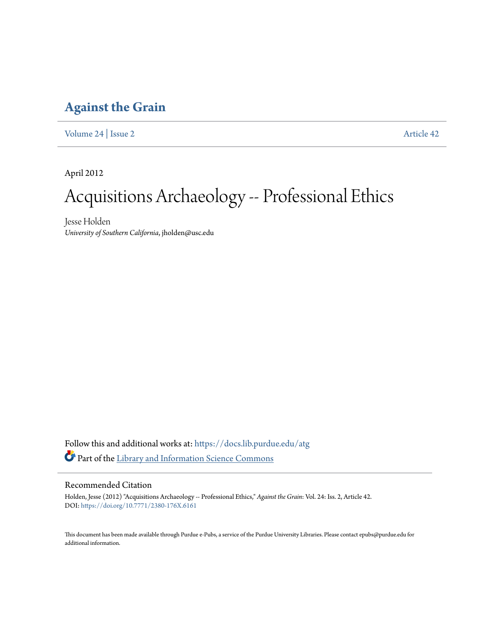## **[Against the Grain](https://docs.lib.purdue.edu/atg?utm_source=docs.lib.purdue.edu%2Fatg%2Fvol24%2Fiss2%2F42&utm_medium=PDF&utm_campaign=PDFCoverPages)**

[Volume 24](https://docs.lib.purdue.edu/atg/vol24?utm_source=docs.lib.purdue.edu%2Fatg%2Fvol24%2Fiss2%2F42&utm_medium=PDF&utm_campaign=PDFCoverPages) | [Issue 2](https://docs.lib.purdue.edu/atg/vol24/iss2?utm_source=docs.lib.purdue.edu%2Fatg%2Fvol24%2Fiss2%2F42&utm_medium=PDF&utm_campaign=PDFCoverPages) [Article 42](https://docs.lib.purdue.edu/atg/vol24/iss2/42?utm_source=docs.lib.purdue.edu%2Fatg%2Fvol24%2Fiss2%2F42&utm_medium=PDF&utm_campaign=PDFCoverPages)

April 2012

# Acquisitions Archaeology -- Professional Ethics

Jesse Holden *University of Southern California*, jholden@usc.edu

Follow this and additional works at: [https://docs.lib.purdue.edu/atg](https://docs.lib.purdue.edu/atg?utm_source=docs.lib.purdue.edu%2Fatg%2Fvol24%2Fiss2%2F42&utm_medium=PDF&utm_campaign=PDFCoverPages) Part of the [Library and Information Science Commons](http://network.bepress.com/hgg/discipline/1018?utm_source=docs.lib.purdue.edu%2Fatg%2Fvol24%2Fiss2%2F42&utm_medium=PDF&utm_campaign=PDFCoverPages)

### Recommended Citation

Holden, Jesse (2012) "Acquisitions Archaeology -- Professional Ethics," *Against the Grain*: Vol. 24: Iss. 2, Article 42. DOI: <https://doi.org/10.7771/2380-176X.6161>

This document has been made available through Purdue e-Pubs, a service of the Purdue University Libraries. Please contact epubs@purdue.edu for additional information.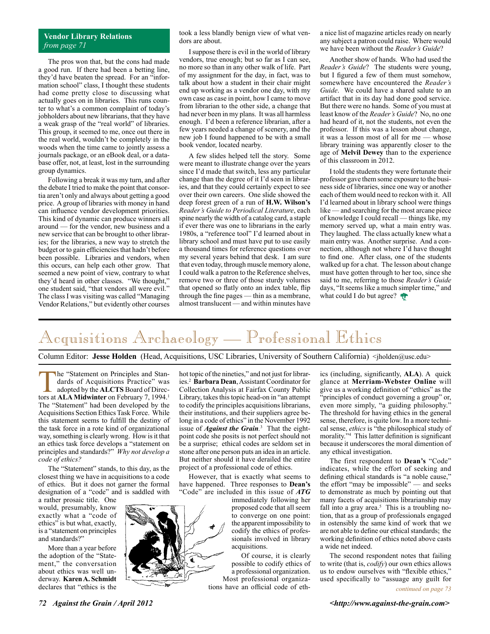### **Vendor Library Relations** *from page 71*

The pros won that, but the cons had made a good run. If there had been a betting line, they'd have beaten the spread. For an "information school" class, I thought these students had come pretty close to discussing what actually goes on in libraries. This runs counter to what's a common complaint of today's jobholders about new librarians, that they have a weak grasp of the "real world" of libraries. This group, it seemed to me, once out there in the real world, wouldn't be completely in the woods when the time came to jointly assess a journals package, or an eBook deal, or a database offer, not, at least, lost in the surrounding group dynamics.

Following a break it was my turn, and after the debate I tried to make the point that consortia aren't only and always about getting a good price. A group of libraries with money in hand can influence vendor development priorities. This kind of dynamic can produce winners all around — for the vendor, new business and a new service that can be brought to other libraries; for the libraries, a new way to stretch the budget or to gain efficiencies that hadn't before been possible. Libraries and vendors, when this occurs, can help each other grow. That seemed a new point of view, contrary to what they'd heard in other classes. "We thought," one student said, "that vendors all were evil." The class I was visiting was called "Managing Vendor Relations," but evidently other courses

took a less blandly benign view of what vendors are about.

I suppose there is evil in the world of library vendors, true enough; but so far as I can see, no more so than in any other walk of life. Part of my assignment for the day, in fact, was to talk about how a student in their chair might end up working as a vendor one day, with my own case as case in point, how I came to move from librarian to the other side, a change that had never been in my plans. It was all harmless enough. I'd been a reference librarian, after a few years needed a change of scenery, and the new job I found happened to be with a small book vendor, located nearby.

A few slides helped tell the story. Some were meant to illustrate change over the years since I'd made that switch, less any particular change than the degree of it I'd seen in libraries, and that they could certainly expect to see over their own careers. One slide showed the deep forest green of a run of **H.W. Wilson's** *Reader's Guide to Periodical Literature*, each spine nearly the width of a catalog card, a staple if ever there was one to librarians in the early 1980s, a "reference tool" I'd learned about in library school and must have put to use easily a thousand times for reference questions over my several years behind that desk. I am sure that even today, through muscle memory alone, I could walk a patron to the Reference shelves, remove two or three of those sturdy volumes that opened so flatly onto an index table, flip through the fine pages — thin as a membrane, almost translucent — and within minutes have a nice list of magazine articles ready on nearly any subject a patron could raise. Where would we have been without the *Reader's Guide*?

Another show of hands. Who had used the *Reader's Guide*? The students were young, but I figured a few of them must somehow, somewhere have encountered the *Reader's Guide*. We could have a shared salute to an artifact that in its day had done good service. But there were no hands. Some of you must at least know of the *Reader's Guide*? No, no one had heard of it, not the students, not even the professor. If this was a lesson about change, it was a lesson most of all for me — whose library training was apparently closer to the age of **Melvil Dewey** than to the experience of this classroom in 2012.

I told the students they were fortunate their professor gave them some exposure to the business side of libraries, since one way or another each of them would need to reckon with it. All I'd learned about in library school were things like — and searching for the most arcane piece of knowledge I could recall — things like, my memory served up, what a main entry was. They laughed. The class actually knew what a main entry was. Another surprise. And a connection, although not where I'd have thought to find one. After class, one of the students walked up for a chat. The lesson about change must have gotten through to her too, since she said to me, referring to those *Reader's Guide* days, "It seems like a much simpler time," and what could I do but agree?

# Acquisitions Archaeology — Professional Ethics

Column Editor: **Jesse Holden** (Head, Acquisitions, USC Libraries, University of Southern California) <jholden@usc.edu>

The "Statement on Principles and Standards of Acquisitions Practice" was adopted by the **ALCTS** Board of Directors at **ALA Midwinter** on February 7, 1994.<sup>1</sup> The "Statement" had been developed by the Acquisitions Section Ethics Task Force. While this statement seems to fulfill the destiny of the task force in a rote kind of organizational way, something is clearly wrong. How is it that an ethics task force develops a "statement on principles and standards?" *Why not develop a code of ethics?*

The "Statement" stands, to this day, as the closest thing we have in acquisitions to a code of ethics. But it does not garner the formal designation of a "code" and is saddled with

a rather prosaic title. One would, presumably, know exactly what a "code of ethics" is but what, exactly, is a "statement on principles and standards?"

More than a year before the adoption of the "Statement," the conversation about ethics was well underway. **Karen A. Schmidt** declares that "ethics is the

hot topic of the nineties," and not just for libraries.2 **Barbara Dean**, Assistant Coordinator for Collection Analysis at Fairfax County Public Library, takes this topic head-on in "an attempt to codify the principles acquisitions librarians, their institutions, and their suppliers agree belong in a code of ethics" in the November 1992 issue of *Against the Grain.* 3 That the eightpoint code she posits is not perfect should not be a surprise; ethical codes are seldom set in stone after one person puts an idea in an article. But neither should it have derailed the entire project of a professional code of ethics.

However, that is exactly what seems to have happened. Three responses to **Dean's** "Code" are included in this issue of *ATG*

immediately following her proposed code that all seem to converge on one point: the apparent impossibility to codify the ethics of professionals involved in library acquisitions.

Of course, it is clearly possible to codify ethics of a professional organization. Most professional organiza-

tions have an official code of eth-

ics (including, significantly, **ALA**). A quick glance at **Merriam-Webster Online** will give us a working definition of "ethics" as the "principles of conduct governing a group" or, even more simply, "a guiding philosophy." The threshold for having ethics in the general sense, therefore, is quite low. In a more technical sense, *ethics* is "the philosophical study of morality."4 This latter definition is significant because it underscores the moral dimention of any ethical investigation.

The first respondent to **Dean's** "Code" indicates, while the effort of seeking and defining ethical standards is "a noble cause," the effort "may be impossible" — and seeks to demonstrate as much by pointing out that many facets of acquisitions librarianship may fall into a gray area. $5$  This is a troubling notion, that as a group of professionals engaged in ostensibly the same kind of work that we are not able to define our ethical standards; the working definition of ethics noted above casts a wide net indeed.

The second respondent notes that failing to write (that is, *codify*) our own ethics allows us to endow ourselves with "flexible ethics," used specifically to "assuage any guilt for